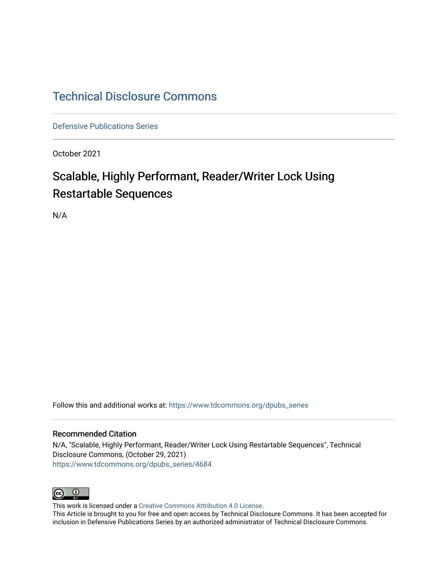## [Technical Disclosure Commons](https://www.tdcommons.org/)

[Defensive Publications Series](https://www.tdcommons.org/dpubs_series)

October 2021

# Scalable, Highly Performant, Reader/Writer Lock Using Restartable Sequences

N/A

Follow this and additional works at: [https://www.tdcommons.org/dpubs\\_series](https://www.tdcommons.org/dpubs_series?utm_source=www.tdcommons.org%2Fdpubs_series%2F4684&utm_medium=PDF&utm_campaign=PDFCoverPages) 

### Recommended Citation

N/A, "Scalable, Highly Performant, Reader/Writer Lock Using Restartable Sequences", Technical Disclosure Commons, (October 29, 2021) [https://www.tdcommons.org/dpubs\\_series/4684](https://www.tdcommons.org/dpubs_series/4684?utm_source=www.tdcommons.org%2Fdpubs_series%2F4684&utm_medium=PDF&utm_campaign=PDFCoverPages)



This work is licensed under a [Creative Commons Attribution 4.0 License](http://creativecommons.org/licenses/by/4.0/deed.en_US).

This Article is brought to you for free and open access by Technical Disclosure Commons. It has been accepted for inclusion in Defensive Publications Series by an authorized administrator of Technical Disclosure Commons.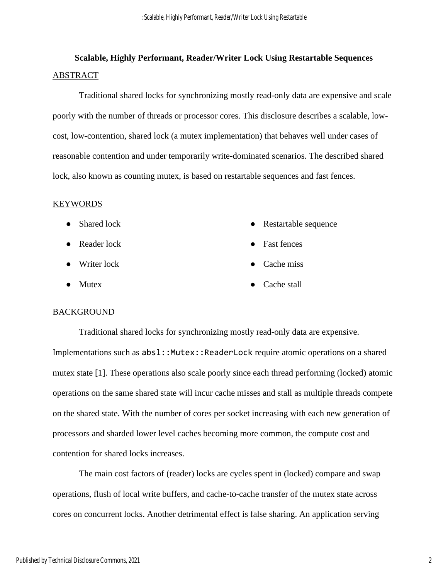## **Scalable, Highly Performant, Reader/Writer Lock Using Restartable Sequences** ABSTRACT

Traditional shared locks for synchronizing mostly read-only data are expensive and scale poorly with the number of threads or processor cores. This disclosure describes a scalable, lowcost, low-contention, shared lock (a mutex implementation) that behaves well under cases of reasonable contention and under temporarily write-dominated scenarios. The described shared lock, also known as counting mutex, is based on restartable sequences and fast fences.

### KEYWORDS

- Shared lock • Restartable sequence
- Reader lock
- Writer lock
- Mutex
- 
- Fast fences
- Cache miss
- Cache stall

### **BACKGROUND**

Traditional shared locks for synchronizing mostly read-only data are expensive. Implementations such as  $abs1::Mutex::ReaderLock$  require atomic operations on a shared mutex state [1]. These operations also scale poorly since each thread performing (locked) atomic operations on the same shared state will incur cache misses and stall as multiple threads compete on the shared state. With the number of cores per socket increasing with each new generation of processors and sharded lower level caches becoming more common, the compute cost and contention for shared locks increases.

The main cost factors of (reader) locks are cycles spent in (locked) compare and swap operations, flush of local write buffers, and cache-to-cache transfer of the mutex state across cores on concurrent locks. Another detrimental effect is false sharing. An application serving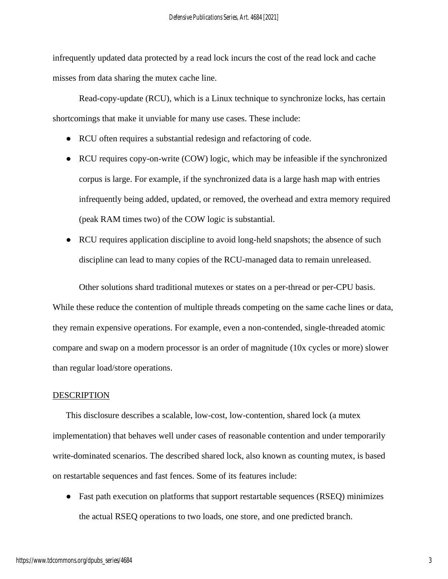infrequently updated data protected by a read lock incurs the cost of the read lock and cache misses from data sharing the mutex cache line.

Read-copy-update (RCU), which is a Linux technique to synchronize locks, has certain shortcomings that make it unviable for many use cases. These include:

- RCU often requires a substantial redesign and refactoring of code.
- RCU requires copy-on-write (COW) logic, which may be infeasible if the synchronized corpus is large. For example, if the synchronized data is a large hash map with entries infrequently being added, updated, or removed, the overhead and extra memory required (peak RAM times two) of the COW logic is substantial.
- RCU requires application discipline to avoid long-held snapshots; the absence of such discipline can lead to many copies of the RCU-managed data to remain unreleased.

Other solutions shard traditional mutexes or states on a per-thread or per-CPU basis. While these reduce the contention of multiple threads competing on the same cache lines or data, they remain expensive operations. For example, even a non-contended, single-threaded atomic compare and swap on a modern processor is an order of magnitude (10x cycles or more) slower than regular load/store operations.

### DESCRIPTION

This disclosure describes a scalable, low-cost, low-contention, shared lock (a mutex implementation) that behaves well under cases of reasonable contention and under temporarily write-dominated scenarios. The described shared lock, also known as counting mutex, is based on restartable sequences and fast fences. Some of its features include:

• Fast path execution on platforms that support restartable sequences (RSEQ) minimizes the actual RSEQ operations to two loads, one store, and one predicted branch.

3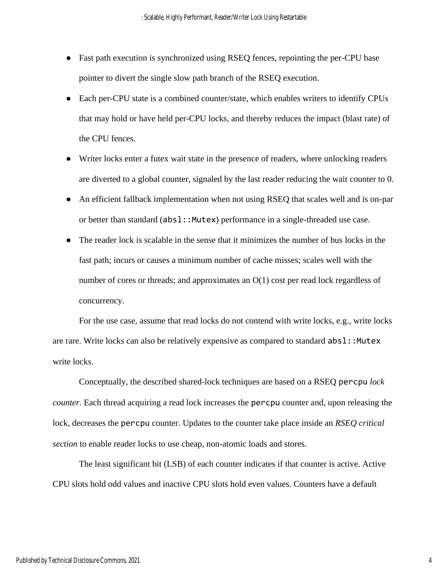- Fast path execution is synchronized using RSEQ fences, repointing the per-CPU base pointer to divert the single slow path branch of the RSEQ execution.
- Each per-CPU state is a combined counter/state, which enables writers to identify CPUs that may hold or have held per-CPU locks, and thereby reduces the impact (blast rate) of the CPU fences.
- Writer locks enter a futex wait state in the presence of readers, where unlocking readers are diverted to a global counter, signaled by the last reader reducing the wait counter to 0.
- An efficient fallback implementation when not using RSEQ that scales well and is on-par or better than standard (absl::Mutex) performance in a single-threaded use case.
- The reader lock is scalable in the sense that it minimizes the number of bus locks in the fast path; incurs or causes a minimum number of cache misses; scales well with the number of cores or threads; and approximates an O(1) cost per read lock regardless of concurrency.

For the use case, assume that read locks do not contend with write locks, e.g., write locks are rare. Write locks can also be relatively expensive as compared to standard  $abs1$ ::Mutex write locks.

Conceptually, the described shared-lock techniques are based on a RSEQ percpu *lock counter*. Each thread acquiring a read lock increases the percpu counter and, upon releasing the lock, decreases the percpu counter. Updates to the counter take place inside an *RSEQ critical section* to enable reader locks to use cheap, non-atomic loads and stores.

The least significant bit (LSB) of each counter indicates if that counter is active. Active CPU slots hold odd values and inactive CPU slots hold even values. Counters have a default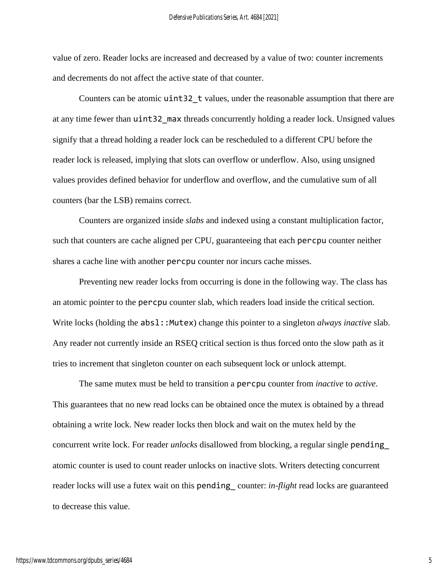value of zero. Reader locks are increased and decreased by a value of two: counter increments and decrements do not affect the active state of that counter.

Counters can be atomic uint32\_t values, under the reasonable assumption that there are at any time fewer than  $u$ **int32** max threads concurrently holding a reader lock. Unsigned values signify that a thread holding a reader lock can be rescheduled to a different CPU before the reader lock is released, implying that slots can overflow or underflow. Also, using unsigned values provides defined behavior for underflow and overflow, and the cumulative sum of all counters (bar the LSB) remains correct.

Counters are organized inside *slabs* and indexed using a constant multiplication factor, such that counters are cache aligned per CPU, guaranteeing that each percpu counter neither shares a cache line with another percpu counter nor incurs cache misses.

Preventing new reader locks from occurring is done in the following way. The class has an atomic pointer to the percpu counter slab, which readers load inside the critical section. Write locks (holding the abs1::Mutex) change this pointer to a singleton *always inactive* slab. Any reader not currently inside an RSEQ critical section is thus forced onto the slow path as it tries to increment that singleton counter on each subsequent lock or unlock attempt.

The same mutex must be held to transition a percpu counter from *inactive* to *active*. This guarantees that no new read locks can be obtained once the mutex is obtained by a thread obtaining a write lock. New reader locks then block and wait on the mutex held by the concurrent write lock. For reader *unlocks* disallowed from blocking, a regular single pending\_ atomic counter is used to count reader unlocks on inactive slots. Writers detecting concurrent reader locks will use a futex wait on this pending\_ counter: *in-flight* read locks are guaranteed to decrease this value.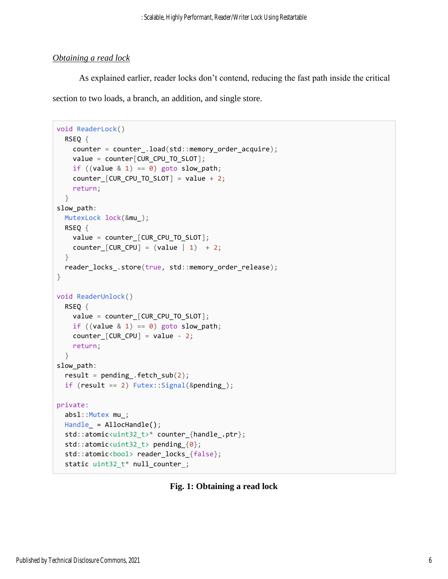## *Obtaining a read lock*

As explained earlier, reader locks don't contend, reducing the fast path inside the critical section to two loads, a branch, an addition, and single store.

```
void ReaderLock()
 RSEQ {
     counter = counter_.load(std::memory_order_acquire);
   value = counter[CUR_CPU_T0_SLOT];if ((value & 1) == 0) goto slow_path;
    counter[CUR_CPU_TO_SLOT] = value + 2;
     return;
  }
slow_path:
  MutexLock lock(&mu_);
  RSEQ {
    value = counter_[CUR_CPU_TO_SLOT];
    counter[CUR_CPU] = (value | 1) + 2;
   }
 reader locks .store(true, std::memory order release);
}
void ReaderUnlock()
 RSEO {
    value = counter_[CUR_CPU_TO_SLOT];
   if ((value \& 1) == 0) goto slow_path;
    counter_{\text{CUR}_{\text{CPU}} = value - 2; return;
  }
slow_path:
  result = pending. fetch\_sub(2);
  if (result == 2) Futex::Signal(&pending_);
private:
  absl::Mutex mu_;
  Handle_ = AllocHandle();
  std::atomic<uint32_t>* counter_{handle_.ptr};
  std::atomic<uint32_t> pending_{0};
 std::atomic<bool> reader_locks_{false};
   static uint32_t* null_counter_;
```
## **Fig. 1: Obtaining a read lock**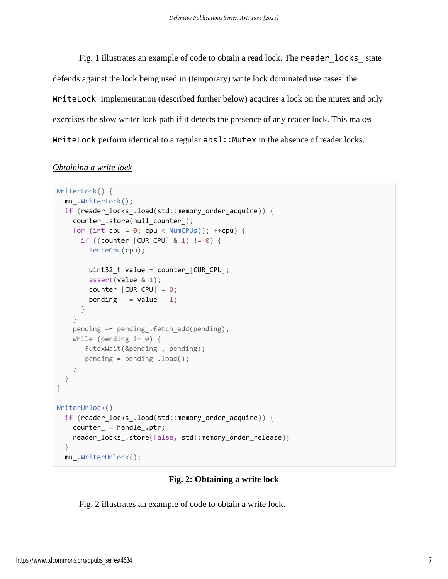Fig. 1 illustrates an example of code to obtain a read lock. The reader\_locks\_ state defends against the lock being used in (temporary) write lock dominated use cases: the WriteLock implementation (described further below) acquires a lock on the mutex and only exercises the slow writer lock path if it detects the presence of any reader lock. This makes WriteLock perform identical to a regular  $abs1$ : :Mutex in the absence of reader locks.

## *Obtaining a write lock*

```
WriterLock() {
   mu_.WriterLock();
   if (reader_locks_.load(std::memory_order_acquire)) {
     counter_.store(null_counter_);
    for (int cpu = 0; cpu < NumCPUs(); ++cpu) {
       if ((counter_[CUR_CPU] & 1) != 0) {
         FenceCpu(cpu);
        uint32_t value = counter_[CUR_CPU];
         assert(value & 1);
        counter[CUR_CPU] = \theta;
        pending += value -1;
       }
     }
     pending += pending_.fetch_add(pending);
    while (pending != 0) {
       FutexWait(&pending, pending);
       pending = pending .load();
     }
   }
}
WriterUnlock()
   if (reader_locks_.load(std::memory_order_acquire)) {
     counter_ = handle_.ptr;
     reader_locks_.store(false, std::memory_order_release);
   }
  mu_.WriterUnlock();
```
## **Fig. 2: Obtaining a write lock**

Fig. 2 illustrates an example of code to obtain a write lock.